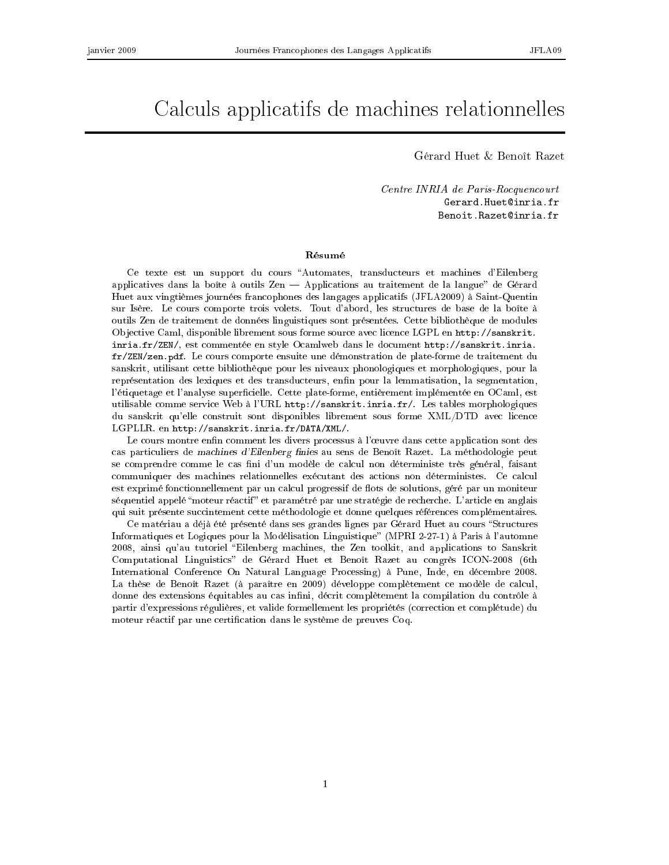# Cal
uls appli
atifs de ma
hines relationnelles

Gérard Huet & Benoît Razet

Centre INRIA de Paris-Rocquencourt Gerard.Huet@inria.fr Benoit.Razet@inria.fr

### Résumé

Ce texte est un support du cours "Automates, transducteurs et machines d'Eilenberg applicatives dans la boîte à outils  $\mathbb{Z}_{en}$  Applications au traitement de la langue" de Gérard Huet aux vingtièmes journées fran
ophones des langages appli
atifs (JFLA2009) à Saint-Quentin sur Isère. Le ours omporte trois volets. Tout d'abord, les stru
tures de base de la boîte à outils Zen de traitement de données linguistiques sont présentées. Cette bibliothèque de modules Objective Caml, disponible librement sous forme source avec licence LGPL en http://sanskrit. inria.fr/ZEN/, est ommentée en style O
amlweb dans le do
ument http://sanskrit.inria. fr/ZEN/zen.pdf. Le cours comporte ensuite une démonstration de plate-forme de traitement du sanskrit, utilisant ette bibliothèque pour les niveaux phonologiques et morphologiques, pour la représentation des lexiques et des transducteurs, enfin pour la lemmatisation, la segmentation, l'étiquetage et l'analyse superficielle. Cette plate-forme, entièrement implémentée en OCaml, est utilisable comme service Web à l'URL http://sanskrit.inria.fr/. Les tables morphologiques du sanskrit qu'elle construit sont disponibles librement sous forme XML/DTD avec licence LGPLLR. en http://sanskrit.inria.fr/DATA/XML/.

Le cours montre enfin comment les divers processus à l'œuvre dans cette application sont des cas particuliers de machines d'Eilenberg finies au sens de Benoît Razet. La méthodologie peut se comprendre comme le cas fini d'un modèle de calcul non déterministe très général, faisant communiquer des machines relationnelles exécutant des actions non déterministes. Ce calcul est exprimé fonctionnellement par un calcul progressif de flots de solutions, géré par un moniteur séquentiel appelé "moteur réactif" et paramétré par une stratégie de recherche. L'article en anglais qui suit présente succintement cette méthodologie et donne quelques références complémentaires.

Ce matériau a déjà été présenté dans ses grandes lignes par Gérard Huet au cours "Structures" Informatiques et Logiques pour la Modélisation Linguistique" (MPRI 2-27-1) à Paris à l'automne 2008, ainsi qu'au tutoriel Eilenberg ma
hines, the Zen toolkit, and appli
ations to Sanskrit Computational Linguistics" de Gérard Huet et Benoît Razet au congrès ICON-2008 (6th International Conference On Natural Language Processing) à Pune, Inde, en décembre 2008. La thèse de Benoît Razet (à paraître en 2009) développe complètement ce modèle de calcul, donne des extensions équitables au cas infini, décrit complètement la compilation du contrôle à partir d'expressions régulières, et valide formellement les propriétés (correction et complétude) du moteur réactif par une certification dans le système de preuves Coq.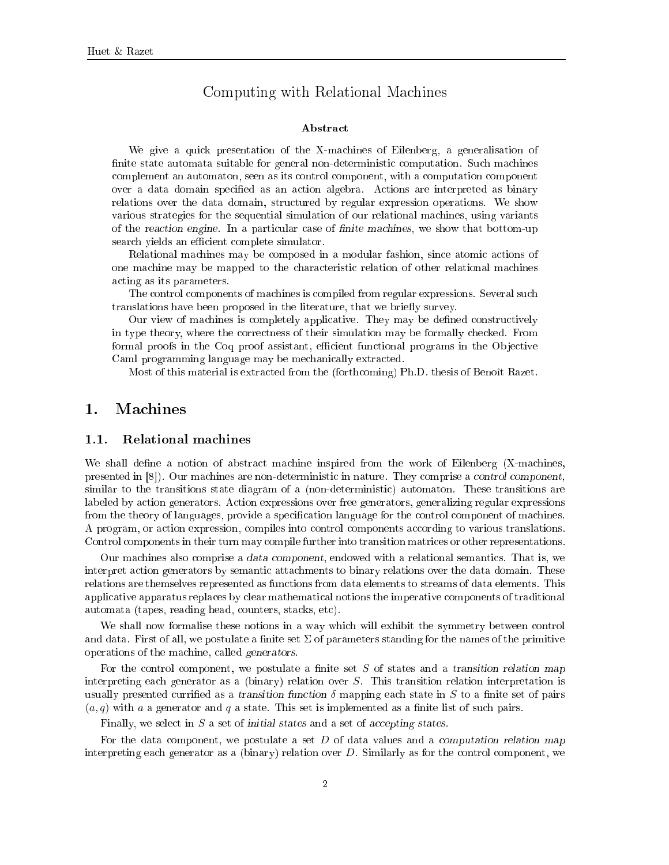# Computing with Relational Ma
hines

### **Abstract**

We give a quick presentation of the X-machines of Eilenberg, a generalisation of finite state automata suitable for general non-deterministic computation. Such machines omplement an automaton, seen as its ontrol omponent, with a omputation omponent over a data domain specified as an action algebra. Actions are interpreted as binary relations over the data domain, stru
tured by regular expression operations. We show various strategies for the sequential simulation of our relational ma
hines, using variants of the reaction engine. In a particular case of finite machines, we show that bottom-up search yields an efficient complete simulator.

Relational machines may be composed in a modular fashion, since atomic actions of one ma
hine may be mapped to the hara
teristi relation of other relational ma
hines a
ting as its parameters.

The control components of machines is compiled from regular expressions. Several such translations have been proposed in the literature, that we briefly survey.

Our view of machines is completely applicative. They may be defined constructively in type theory, where the correctness of their simulation may be formally checked. From formal proofs in the Coq proof assistant, efficient functional programs in the Objective Caml programming language may be mechanically extracted.

Most of this material is extra
ted from the (forth
oming) Ph.D. thesis of Benoît Razet.

#### $1.1.$ Relational machines

We shall define a notion of abstract machine inspired from the work of Eilenberg (X-machines, presented in [8]). Our machines are non-deterministic in nature. They comprise a *control component*, similar to the transitions state diagram of a (non-deterministic) automaton. These transitions are labeled by a
tion generators. A
tion expressions over free generators, generalizing regular expressions from the theory of languages, provide a specification language for the control component of machines. A program, or action expression, compiles into control components according to various translations. Control omponents in their turn may ompile further into transition matri
es or other representations.

Our machines also comprise a *data component*, endowed with a relational semantics. That is, we interpret action generators by semantic attachments to binary relations over the data domain. These relations are themselves represented as fun
tions from data elements to streams of data elements. This appli
ative apparatus repla
es by lear mathemati
al notions the imperative omponents of traditional automata (tapes, reading head, counters, stacks, etc).

We shall now formalise these notions in a way which will exhibit the symmetry between control and data. First of all, we postulate a finite set  $\Sigma$  of parameters standing for the names of the primitive operations of the ma
hine, alled generators.

For the control component, we postulate a finite set  $S$  of states and a transition relation map interpreting each generator as a (binary) relation over  $S$ . This transition relation interpretation is usually presented currified as a transition function  $\delta$  mapping each state in S to a finite set of pairs  $(a, q)$  with a a generator and q a state. This set is implemented as a finite list of such pairs.

Finally, we select in  $S$  a set of initial states and a set of accepting states.

For the data component, we postulate a set  $D$  of data values and a computation relation map interpreting each generator as a (binary) relation over  $D$ . Similarly as for the control component, we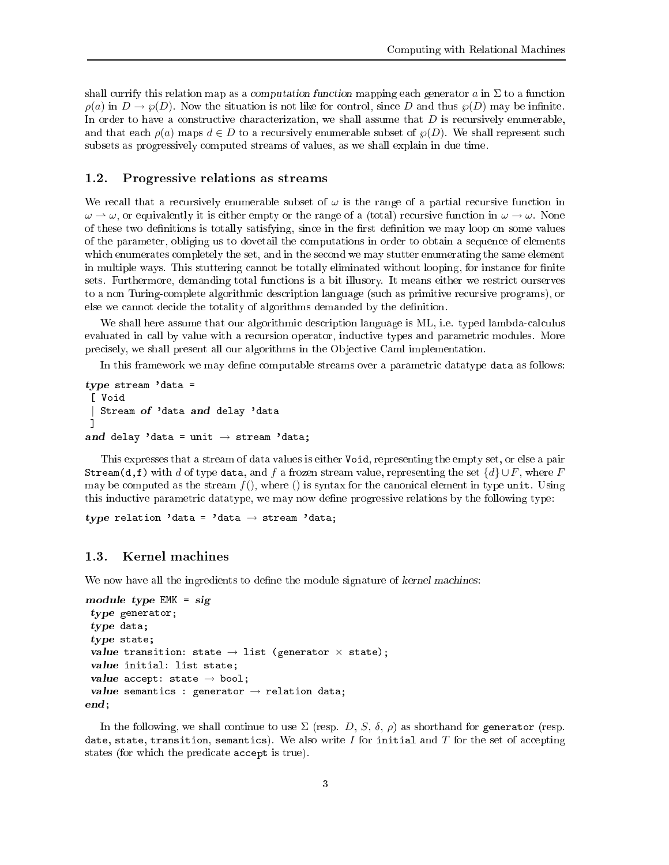shall currify this relation map as a *computation function* mapping each generator a in  $\Sigma$  to a function  $\rho(a)$  in  $D \to \varphi(D)$ . Now the situation is not like for control, since D and thus  $\varphi(D)$  may be infinite. In order to have a constructive characterization, we shall assume that  $D$  is recursively enumerable, and that each  $\rho(a)$  maps  $d \in D$  to a recursively enumerable subset of  $\wp(D)$ . We shall represent such subsets as progressively omputed streams of values, as we shall explain in due time.

## 1.2. Progressive relations as streams

We recall that a recursively enumerable subset of  $\omega$  is the range of a partial recursive function in  $\omega \to \omega$ , or equivalently it is either empty or the range of a (total) recursive function in  $\omega \to \omega$ . None of these two definitions is totally satisfying, since in the first definition we may loop on some values of the parameter, obliging us to dovetail the omputations in order to obtain a sequen
e of elements which enumerates completely the set, and in the second we may stutter enumerating the same element in multiple ways. This stuttering cannot be totally eliminated without looping, for instance for finite sets. Furthermore, demanding total functions is a bit illusory. It means either we restrict ourserves to a non Turingomplete algorithmi des
ription language (su
h as primitive re
ursive programs), or else we cannot decide the totality of algorithms demanded by the definition.

We shall here assume that our algorithmic description language is ML, i.e. typed lambda-calculus evaluated in call by value with a recursion operator, inductive types and parametric modules. More precisely, we shall present all our algorithms in the Objective Caml implementation.

In this framework we may define computable streams over a parametric datatype data as follows:

```
type stream 'data =
[ Void
| Stream of 'data and delay 'data
ा
 ℄
and delay 'data = unit \rightarrow stream 'data;
```
This expresses that a stream of data values is either Void, representing the empty set, or else a pair Stream(d,f) with d of type data, and f a frozen stream value, representing the set  $\{d\} \cup F$ , where F may be computed as the stream  $f()$ , where () is syntax for the canonical element in type unit. Using this inductive parametric datatype, we may now define progressive relations by the following type:

type relation 'data = 'data  $\rightarrow$  stream 'data;

We now have all the ingredients to define the module signature of kernel machines:

```
module type EMK = sig
 type generator;
 t_{\rm eff} and define the t_{\rm eff}t_{\rm eff} is stated states;
 value transition: state \rightarrow list (generator \times state);
 value initial: list state;
 value accept: state \rightarrow bool;
 value semantics : generator \rightarrow relation data;
end;
```
In the following, we shall continue to use  $\Sigma$  (resp. D, S,  $\delta$ ,  $\rho$ ) as shorthand for generator (resp. date, state, transition, semantics). We also write I for initial and T for the set of accepting states (for which the predicate accept is true).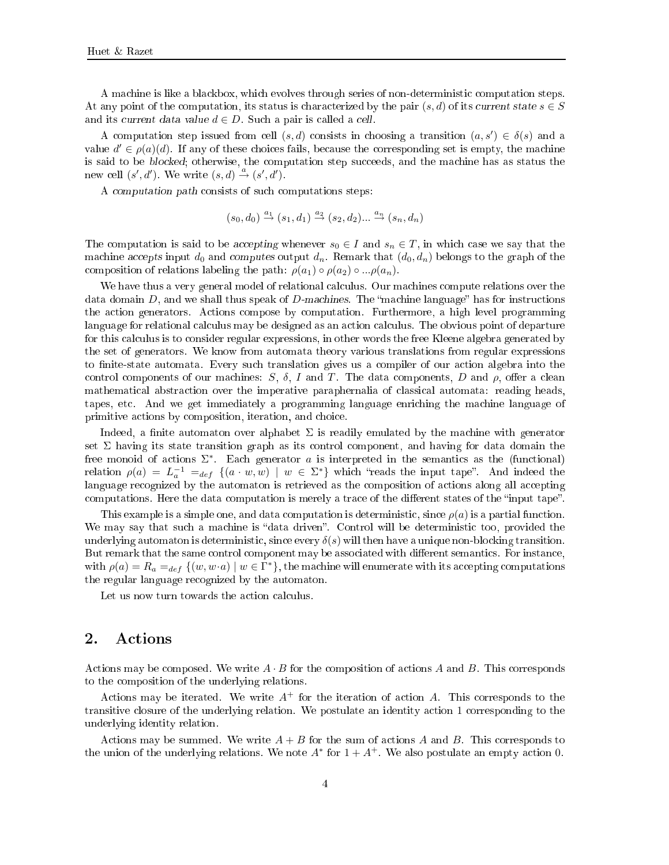A machine is like a blackbox, which evolves through series of non-deterministic computation steps. At any point of the computation, its status is characterized by the pair  $(s, d)$  of its current state  $s \in S$ and its current data value  $d \in D$ . Such a pair is called a cell.

A computation step issued from cell  $(s, d)$  consists in choosing a transition  $(a, s') \in \delta(s)$  and a value  $d' \in \rho(a)(d)$ . If any of these choices fails, because the corresponding set is empty, the machine is said to be blocked; otherwise, the computation step succeeds, and the machine has as status the new cell  $(s', d')$ . We write  $(s, d) \stackrel{a}{\rightarrow} (s', d')$ .

A *computation path* consists of such computations steps:

$$
(s_0, d_0) \stackrel{a_1}{\rightarrow} (s_1, d_1) \stackrel{a_2}{\rightarrow} (s_2, d_2) \dots \stackrel{a_n}{\rightarrow} (s_n, d_n)
$$

The computation is said to be accepting whenever  $s_0 \in I$  and  $s_n \in T$ , in which case we say that the machine accepts input  $d_0$  and computes output  $d_n$ . Remark that  $(d_0, d_n)$  belongs to the graph of the composition of relations labeling the path:  $\rho(a_1) \circ \rho(a_2) \circ ... \rho(a_n)$ .

We have thus a very general model of relational calculus. Our machines compute relations over the data domain  $D$ , and we shall thus speak of  $D$ -machines. The "machine language" has for instructions the a
tion generators. A
tions ompose by omputation. Furthermore, a high level programming language for relational calculus may be designed as an action calculus. The obvious point of departure for this calculus is to consider regular expressions, in other words the free Kleene algebra generated by the set of generators. We know from automata theory various translations from regular expressions to finite-state automata. Every such translation gives us a compiler of our action algebra into the control components of our machines:  $S$ ,  $\delta$ , I and T. The data components, D and  $\rho$ , offer a clean mathematical abstraction over the imperative paraphernalia of classical automata: reading heads, tapes, et
. And we get immediately a programming language enri
hing the ma
hine language of primitive actions by composition, iteration, and choice.

Indeed, a finite automaton over alphabet  $\Sigma$  is readily emulated by the machine with generator set  $\Sigma$  having its state transition graph as its control component, and having for data domain the free monoid of actions  $\Sigma^*$ . Each generator a is interpreted in the semantics as the (functional) relation  $\rho(a) = L_a^{-1} =_{def} \{(a \cdot w, w) \mid w \in \Sigma^*\}$  which "reads the input tape". And indeed the language recognized by the automaton is retrieved as the composition of actions along all accepting computations. Here the data computation is merely a trace of the different states of the "input tape".

This example is a simple one, and data computation is deterministic, since  $\rho(a)$  is a partial function. We may say that such a machine is "data driven". Control will be deterministic too, provided the underlying automaton is deterministic, since every  $\delta(s)$  will then have a unique non-blocking transition. But remark that the same control component may be associated with different semantics. For instance, with  $\rho(a) = R_a =_{def} \{(w, w \cdot a) \mid w \in \Gamma^*\},$  the machine will enumerate with its accepting computations the regular language re
ognized by the automaton.

Let us now turn towards the action calculus.

### 2. **Actions**

Actions may be composed. We write  $A \cdot B$  for the composition of actions A and B. This corresponds to the omposition of the underlying relations.

Actions may be iterated. We write  $A^+$  for the iteration of action A. This corresponds to the transitive losure of the underlying relation. We postulate an identity a
tion 1 orresponding to the underlying identity relation.

Actions may be summed. We write  $A + B$  for the sum of actions A and B. This corresponds to the union of the underlying relations. We note  $A^*$  for  $1 + A^+$ . We also postulate an empty action 0.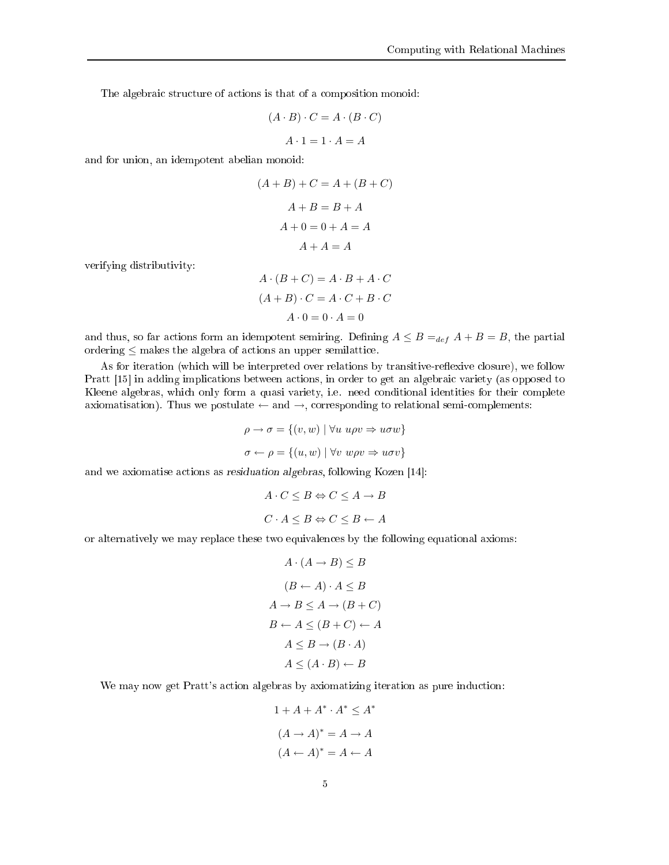The algebraic structure of actions is that of a composition monoid:

$$
(A \cdot B) \cdot C = A \cdot (B \cdot C)
$$

$$
A \cdot 1 = 1 \cdot A = A
$$

and for union, an idempotent abelian monoid:

$$
(A + B) + C = A + (B + C)
$$

$$
A + B = B + A
$$

$$
A + 0 = 0 + A = A
$$

$$
A + A = A
$$

verifying distributivity:

$$
A \cdot (B + C) = A \cdot B + A \cdot C
$$

$$
(A + B) \cdot C = A \cdot C + B \cdot C
$$

$$
A \cdot 0 = 0 \cdot A = 0
$$

and thus, so far actions form an idempotent semiring. Defining  $A \leq B =_{def} A + B = B$ , the partial ordering  $\leq$  makes the algebra of actions an upper semilattice.

As for iteration (which will be interpreted over relations by transitive-reflexive closure), we follow Pratt [15] in adding implications between actions, in order to get an algebraic variety (as opposed to Kleene algebras, which only form a quasi variety, i.e. need conditional identities for their complete axiomatisation). Thus we postulate  $\leftarrow$  and  $\rightarrow$ , corresponding to relational semi-complements:

$$
\rho \to \sigma = \{(v, w) \mid \forall u \ u\rho v \Rightarrow u\sigma w\}
$$

$$
\sigma \leftarrow \rho = \{(u, w) \mid \forall v \ w\rho v \Rightarrow u\sigma v\}
$$

and we axiomatise actions as residuation algebras, following Kozen [14]:

$$
A \cdot C \leq B \Leftrightarrow C \leq A \to B
$$
  

$$
C \cdot A \leq B \Leftrightarrow C \leq B \leftarrow A
$$

or alternatively we may repla
e these two equivalen
es by the following equational axioms:

$$
A \cdot (A \to B) \le B
$$
  
\n
$$
(B \leftarrow A) \cdot A \le B
$$
  
\n
$$
A \to B \le A \to (B + C)
$$
  
\n
$$
B \leftarrow A \le (B + C) \leftarrow A
$$
  
\n
$$
A \le B \to (B \cdot A)
$$
  
\n
$$
A \le (A \cdot B) \leftarrow B
$$

We may now get Pratt's action algebras by axiomatizing iteration as pure induction:

$$
1 + A + A^* \cdot A^* \le A^*
$$

$$
(A \to A)^* = A \to A
$$

$$
(A \leftarrow A)^* = A \leftarrow A
$$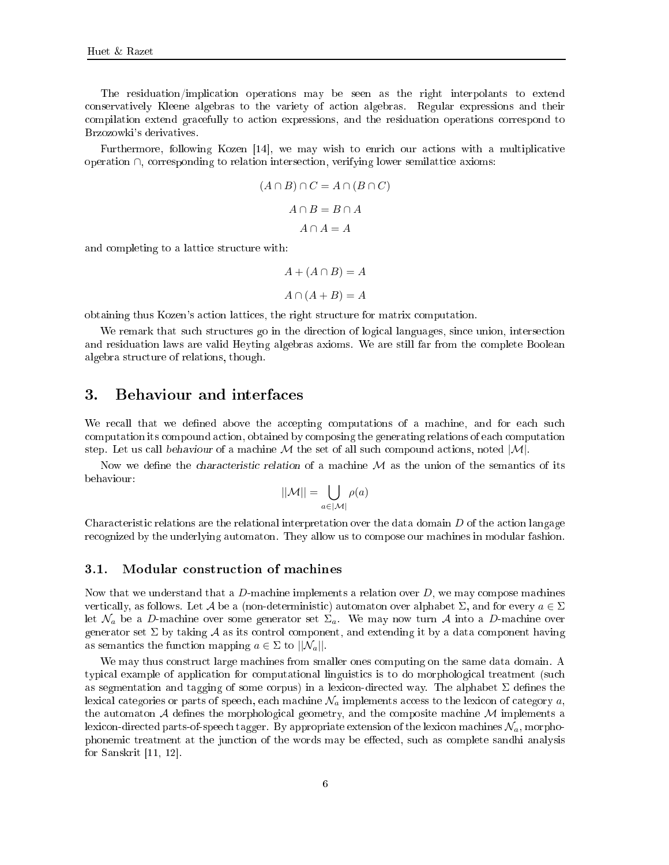The residuation/impli
ation operations may be seen as the right interpolants to extend conservatively Kleene algebras to the variety of action algebras. Regular expressions and their compilation extend gracefully to action expressions, and the residuation operations correspond to Brzozowki's derivatives.

Furthermore, following Kozen  $[14]$ , we may wish to enrich our actions with a multiplicative operation ∩, orresponding to relation interse
tion, verifying lower semilatti
e axioms:

$$
(A \cap B) \cap C = A \cap (B \cap C)
$$

$$
A \cap B = B \cap A
$$

$$
A \cap A = A
$$

and completing to a lattice structure with:

$$
A + (A \cap B) = A
$$

$$
A \cap (A + B) = A
$$

obtaining thus Kozen's a
tion latti
es, the right stru
ture for matrix omputation.

We remark that such structures go in the direction of logical languages, since union, intersection and residuation laws are valid Heyting algebras axioms. We are still far from the omplete Boolean algebra stru
ture of relations, though.

#### 3. Behaviour and interfaces

We recall that we defined above the accepting computations of a machine, and for each such computation its compound action, obtained by composing the generating relations of each computation step. Let us call behaviour of a machine  $\mathcal M$  the set of all such compound actions, noted  $|\mathcal M|$ .

Now we define the *characteristic relation* of a machine  $M$  as the union of the semantics of its behaviour:

$$
||\mathcal{M}|| = \bigcup_{a \in |\mathcal{M}|} \rho(a)
$$

Characteristic relations are the relational interpretation over the data domain  $D$  of the action langage recognized by the underlying automaton. They allow us to compose our machines in modular fashion.

### 3.1. Modular onstru
tion of ma
hines

Now that we understand that a  $D$ -machine implements a relation over  $D$ , we may compose machines vertically, as follows. Let A be a (non-deterministic) automaton over alphabet  $\Sigma$ , and for every  $a \in \Sigma$ let  $\mathcal{N}_a$  be a D-machine over some generator set  $\Sigma_a$ . We may now turn A into a D-machine over generator set  $\Sigma$  by taking A as its control component, and extending it by a data component having as semantics the function mapping  $a \in \Sigma$  to  $||\mathcal{N}_a||$ .

We may thus construct large machines from smaller ones computing on the same data domain. A typical example of application for computational linguistics is to do morphological treatment (such as segmentation and tagging of some corpus) in a lexicon-directed way. The alphabet  $\Sigma$  defines the lexical categories or parts of speech, each machine  $\mathcal{N}_a$  implements access to the lexicon of category  $a$ , the automaton  $A$  defines the morphological geometry, and the composite machine  $M$  implements a lexicon-directed parts-of-speech tagger. By appropriate extension of the lexicon machines  $\mathcal{N}_a$ , morphophonemic treatment at the junction of the words may be effected, such as complete sandhi analysis for Sanskrit  $[11, 12]$ .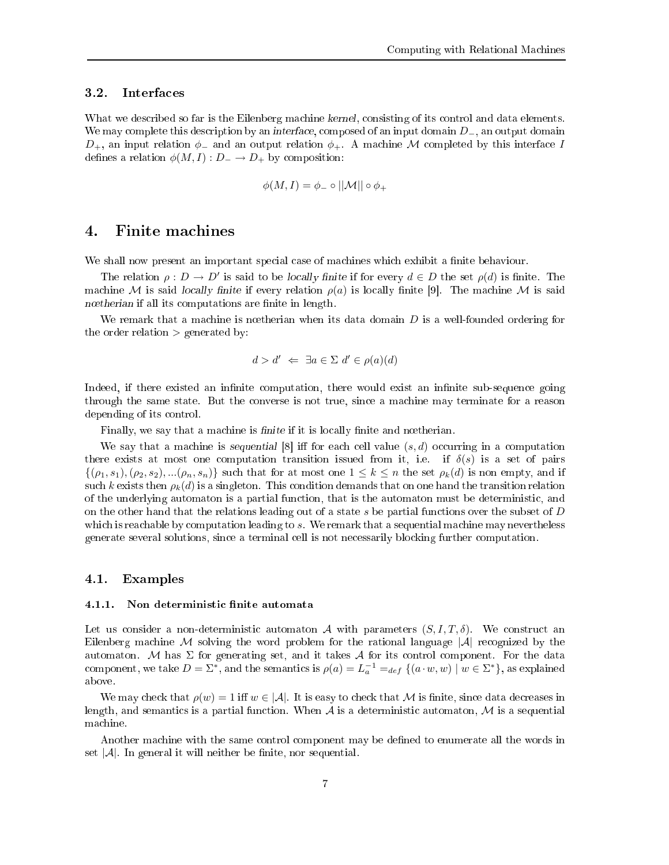#### $3.2.$ **Interfaces**

What we described so far is the Eilenberg machine kernel, consisting of its control and data elements. We may complete this description by an interface, composed of an input domain  $D_$ , an output domain  $D_+$ , an input relation  $\phi_-$  and an output relation  $\phi_+$ . A machine M completed by this interface I defines a relation  $\phi(M,I): D_- \to D_+$  by composition:

$$
\phi(M,I)=\phi_-\circ||\mathcal{M}||\circ\phi_+
$$

#### 4. Finite ma
hines 4.

We shall now present an important special case of machines which exhibit a finite behaviour.

The relation  $\rho: D \to D'$  is said to be locally finite if for every  $d \in D$  the set  $\rho(d)$  is finite. The machine M is said locally finite if every relation  $\rho(a)$  is locally finite [9]. The machine M is said n÷therian if all its omputations are nite in length.

We remark that a machine is notherian when its data domain  $D$  is a well-founded ordering for the order relation  $>$  generated by:

$$
d > d' \iff \exists a \in \Sigma \ d' \in \rho(a)(d)
$$

Indeed, if there existed an infinite computation, there would exist an infinite sub-sequence going through the same state. But the onverse is not true, sin
e a ma
hine may terminate for a reason depending of its ontrol.

Finally, we say that a machine is *finite* if it is locally finite and noetherian.

We say that a machine is sequential  $[8]$  iff for each cell value  $(s, d)$  occurring in a computation there exists at most one computation transition issued from it, i.e. if  $\delta(s)$  is a set of pairs  $\{(\rho_1, s_1), (\rho_2, s_2), ... (\rho_n, s_n)\}\$  such that for at most one  $1 \leq k \leq n$  the set  $\rho_k(d)$  is non empty, and if such k exists then  $\rho_k(d)$  is a singleton. This condition demands that on one hand the transition relation of the underlying automaton is a partial function, that is the automaton must be deterministic, and on the other hand that the relations leading out of a state s be partial functions over the subset of  $D$ which is reachable by computation leading to s. We remark that a sequential machine may nevertheless generate several solutions, sin
e a terminal ell is not ne
essarily blo
king further omputation.

### 4.1. Examples

### 4.1.1. Non deterministic finite automata

Let us consider a non-deterministic automaton A with parameters  $(S, I, T, \delta)$ . We construct an Eilenberg machine M solving the word problem for the rational language  $|\mathcal{A}|$  recognized by the automaton. M has  $\Sigma$  for generating set, and it takes A for its control component. For the data component, we take  $D = \Sigma^*$ , and the semantics is  $\rho(a) = L_a^{-1} =_{def} \{ (a \cdot w, w) \mid w \in \Sigma^* \}$ , as explained above.

We may check that  $\rho(w) = 1$  iff  $w \in |\mathcal{A}|$ . It is easy to check that M is finite, since data decreases in length, and semantics is a partial function. When  $A$  is a deterministic automaton,  $M$  is a sequential ma
hine.

Another machine with the same control component may be defined to enumerate all the words in set  $|\mathcal{A}|$ . In general it will neither be finite, nor sequential.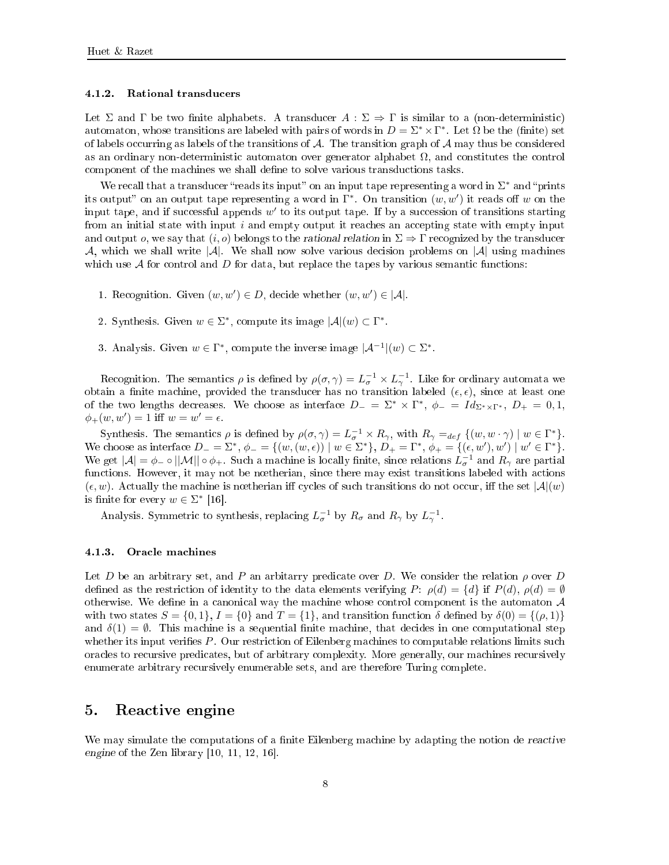### 4.1.2. Rational transdu
ers

Let  $\Sigma$  and  $\Gamma$  be two finite alphabets. A transducer  $A : \Sigma \Rightarrow \Gamma$  is similar to a (non-deterministic) automaton, whose transitions are labeled with pairs of words in  $D = \Sigma^* \times \Gamma^*$ . Let  $\Omega$  be the (finite) set of labels occurring as labels of the transitions of A. The transition graph of A may thus be considered as an ordinary non-deterministic automaton over generator alphabet  $\Omega$ , and constitutes the control omponent of the ma
hines we shall dene to solve various transdu
tions tasks.

We recall that a transducer "reads its input" on an input tape representing a word in  $\Sigma^*$  and "prints its output" on an output tape representing a word in  $\Gamma^*$ . On transition  $(w, w')$  it reads off w on the input tape, and if successful appends  $w'$  to its output tape. If by a succession of transitions starting from an initial state with input  $i$  and empty output it reaches an accepting state with empty input and output *o*, we say that  $(i, o)$  belongs to the rational relation in  $\Sigma \Rightarrow \Gamma$  recognized by the transducer  $\mathcal{A}$ , which we shall write  $|\mathcal{A}|$ . We shall now solve various decision problems on  $|\mathcal{A}|$  using machines which use  $A$  for control and  $D$  for data, but replace the tapes by various semantic functions:

- 1. Recognition. Given  $(w, w') \in D$ , decide whether  $(w, w') \in |\mathcal{A}|$ .
- 2. Synthesis. Given  $w \in \Sigma^*$ , compute its image  $|\mathcal{A}|(w) \subset \Gamma^*$ .
- 3. Analysis. Given  $w \in \Gamma^*$ , compute the inverse image  $|\mathcal{A}^{-1}|(w) \subset \Sigma^*$ .

Recognition. The semantics  $\rho$  is defined by  $\rho(\sigma, \gamma) = L_{\sigma}^{-1} \times L_{\gamma}^{-1}$ . Like for ordinary automata we obtain a finite machine, provided the transducer has no transition labeled  $(\epsilon, \epsilon)$ , since at least one of the two lengths decreases. We choose as interface  $D_- = \Sigma^* \times \Gamma^*, \phi_- = Id_{\Sigma^* \times \Gamma^*}, D_+ = 0, 1,$  $\phi_{+}(w, w') = 1$  iff  $w = w' = \epsilon$ .

Synthesis. The semantics  $\rho$  is defined by  $\rho(\sigma, \gamma) = L_{\sigma}^{-1} \times R_{\gamma}$ , with  $R_{\gamma} =_{def} \{(w, w \cdot \gamma) \mid w \in \Gamma^*\}.$ We choose as interface  $D_ - = \Sigma^*$ ,  $\phi_- = \{(w, (w, \epsilon)) \mid w \in \Sigma^*\}$ ,  $D_+ = \Gamma^*$ ,  $\phi_+ = \{(\epsilon, w'), w'\} \mid w' \in \Gamma^*\}$ . We get  $|A| = \phi_- \circ ||M|| \circ \phi_+$ . Such a machine is locally finite, since relations  $L_{\sigma}^{-1}$  and  $R_{\gamma}$  are partial functions. However, it may not be nœtherian, since there may exist transitions labeled with actions  $(\epsilon, w)$ . Actually the machine is nœtherian iff cycles of such transitions do not occur, iff the set  $|\mathcal{A}|(w)$ is finite for every  $w \in \Sigma^*$  [16].

Analysis. Symmetric to synthesis, replacing  $L_{\sigma}^{-1}$  by  $R_{\sigma}$  and  $R_{\gamma}$  by  $L_{\gamma}^{-1}$ .

### 4.1.3. Ora
le ma
hines

Let D be an arbitrary set, and P an arbitrary predicate over D. We consider the relation  $\rho$  over D defined as the restriction of identity to the data elements verifying P:  $\rho(d) = \{d\}$  if  $P(d)$ ,  $\rho(d) = \emptyset$ otherwise. We define in a canonical way the machine whose control component is the automaton  $A$ with two states  $S = \{0, 1\}$ ,  $I = \{0\}$  and  $T = \{1\}$ , and transition function  $\delta$  defined by  $\delta(0) = \{(\rho, 1)\}$ and  $\delta(1) = \emptyset$ . This machine is a sequential finite machine, that decides in one computational step whether its input verifies P. Our restriction of Eilenberg machines to computable relations limits such ora
les to re
ursive predi
ates, but of arbitrary omplexity. More generally, our ma
hines re
ursively enumerate arbitrary recursively enumerable sets, and are therefore Turing complete.

#### Reactive engine 5.

We may simulate the computations of a finite Eilenberg machine by adapting the notion de reactive engine of the Zen library [10, 11, 12, 16℄.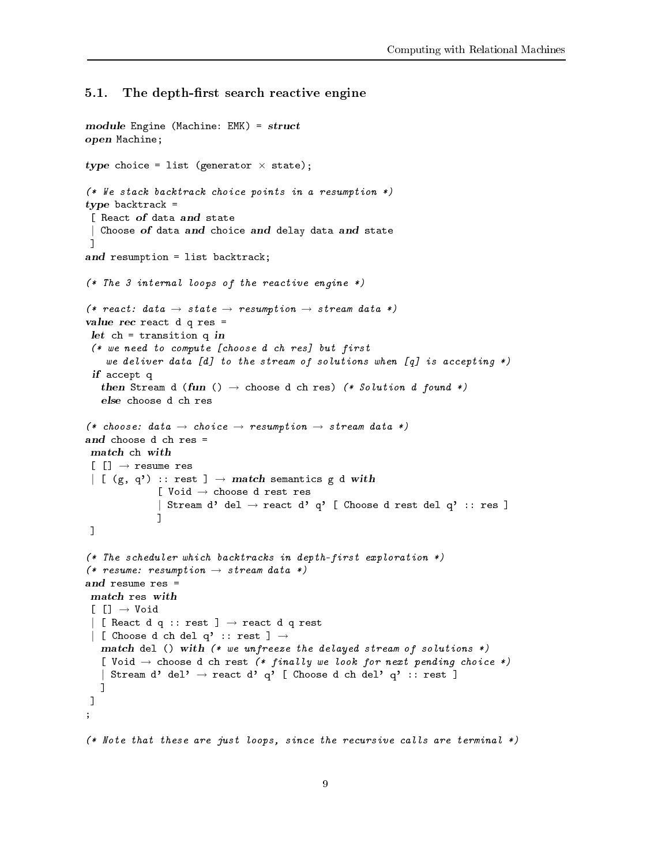#### $5.1.$ The depth-first search reactive engine

```
module Engine (Ma
hine: EMK) = stru
t
open Ma
hine;
type choice = list (generator \times state);
(* We stack backtrack choice points in a resumption *)
type ba
ktra
k =
 [ React of data and state
 | Choose of data and choice and delay data and state
\mathbf{I}℄
and resumption = list ba
ktra
k;
(* The 3 internal loops of the reactive engine *)(* react: data \rightarrow state \rightarrow resumption \rightarrow stream data *)
value re
 rea
t d q res =
 let 
h = transition q in
 (* we need to 
ompute [
hoose d 
h res℄ but first
     we deliver data [d] to the stream of solutions when [q] is accepting *)
 if a contract of the contract of the contract of the contract of the contract of the contract of the contract of the contract of the contract of the contract of the contract of the contract of the contract of the contract 
    then Stream d (fun () \rightarrow choose d ch res) (* Solution d found *)
(* choose: data \rightarrow choice \rightarrow resumption \rightarrow stream data *)
 [[] \rightarrow \text{resume} \text{res}\begin{array}{rcl} \mid & \left[ \begin{array}{ccc} (g,~q') & : : & \text{rest} \end{array} \right] \rightarrow \textit{match} \textit{ semantics} \textit{ g } \textit{ d } \textit{ with} \end{array}[ Void \rightarrow choose d rest res
                  | Stream d' del \rightarrow react d' q' [ Choose d rest del q' :: res ]
                  \mathbf 1\mathbf l(* The s
heduler whi
h ba
ktra
ks in depth-first exploration *)
(* resume: resumption \rightarrow stream data *)
and resume res =\lceil \; \lceil \; \rceil \; \rightarrow \; \texttt{Void}\mid [ React d q :: rest ] \rightarrow react d q rest
 \vert [ Choose d ch del q' :: rest ] \rightarrowmate die () with (* we wij stat the delayed stream of stream of )
   [ Void \rightarrow choose d ch rest (* finally we look for next pending choice *)
   | Stream d' del' \rightarrow react d' q' [ Choose d ch del' q' :: rest ]
   \exists\mathbf{I};
(* Note that these are just loops, since the recursive calls are terminal *)
```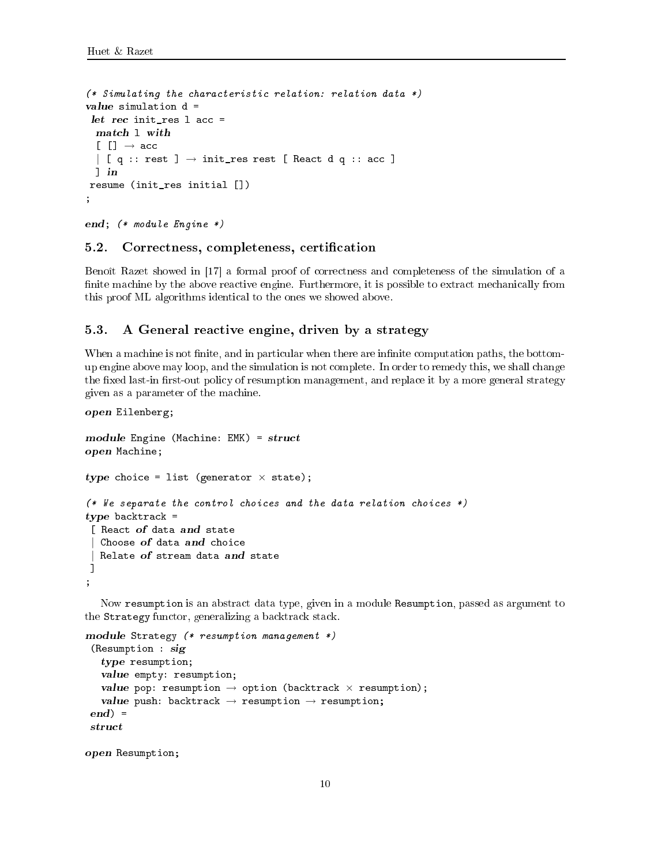```
(* Simulating the 
hara
teristi
 relation: relation data *)
 . . . . . . . . . . . . . . .
 [[] \rightarrow acc\begin{bmatrix} q : : \text{rest} \end{bmatrix} \rightarrow \text{init\_res rest} [ React d q :: acc ]
  -resume (init_res initial [])
,
```

```
end; (* module Engine *)
```
open Eilenberg;

open Resumption;

## 5.2. Corre
tness, ompleteness, erti
ation

Benoît Razet showed in  $\left[17\right]$  a formal proof of correctness and completeness of the simulation of a finite machine by the above reactive engine. Furthermore, it is possible to extract mechanically from this proof ML algorithms identi
al to the ones we showed above.

#### $5.3.$ A General reactive engine, driven by a strategy

When a machine is not finite, and in particular when there are infinite computation paths, the bottomup engine above may loop, and the simulation is not omplete. In order to remedy this, we shall hange the fixed last-in first-out policy of resumption management, and replace it by a more general strategy given as a parameter of the ma
hine.

```
module Engine (Ma
hine: EMK) = stru
t
open Ma
hine;
type choice = list (generator \times state);
(*\n We separate the control choices and the data relation choices *)
type ba
ktra
k =
 [ React of data and state
  Choose of data and choice
  Relate of stream data and state
\overline{1}℄
;
```
Now resumption is an abstract data type, given in a module Resumption, passed as argument to the Strategy functor, generalizing a backtrack stack.

```
module Strategy (* resumption management *)
 (Resumption : sig
   type resumption;
   value empty: resumption;
   value pop: resumption \rightarrow option (backtrack \times resumption);
   value push: backtrack \rightarrow resumption \rightarrow resumption;
end =
 stru
t
```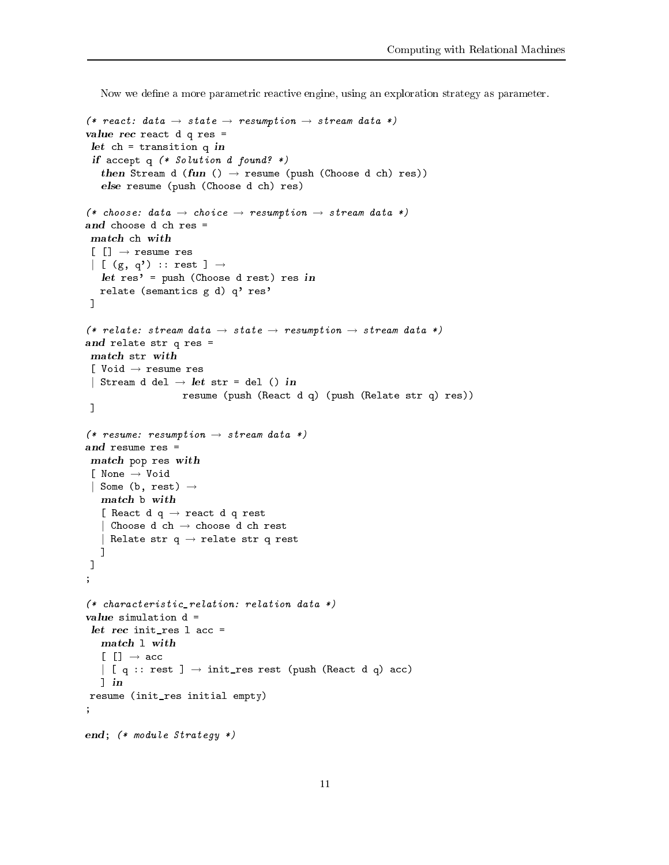Now we define a more parametric reactive engine, using an exploration strategy as parameter.

```
(* react: data \rightarrow state \rightarrow resumption \rightarrow stream data *)
value re
 rea
t d q res =
 let the transition of transition \mathcal{L}_\mathcal{A} and the transition \mathcal{L}_\mathcal{A} and transition \mathcal{L}_\mathcal{A}if a strong control of the found of the found of the found of the found of the found of the found of the found
    then Stream d (fun () \rightarrow resume (push (Choose d ch) res))
    else resume (push (Choose d 
h) res)
(* choose: data \rightarrow choice \rightarrow resumption \rightarrow stream data *)
and choose d ch res =
 [[] \rightarrow \text{resume res}]| [ (g, q') :: rest ] \rightarrowlet res' = push (Choose d rest) res in
   relate (semantics g d) q' res'
\overline{1}℄
(* relate: stream data \rightarrow state \rightarrow resumption \rightarrow stream data *)
and relate stre questions
 [ Void → resume res
 | Stream d del \rightarrow let str = del () in
                        resume (push (React d q) (push (Relate str q) res))
 \mathbf{1}(* resume: resumption \rightarrow stream data *)
 mat
h pop res with
 [ None → Void
 | Some (b, rest) \rightarrow[ React d q \rightarrow react d q rest
   | Choose d ch \rightarrow choose d ch rest
   | Relate str q \rightarrow relate str q rest
   \overline{1}℄
\mathbf{I};
(* 
hara
teristi
_relation: relation data *)
value simulation d =
 ... ... ..... .. . ...
   [[] \rightarrow acc\begin{pmatrix} \end{pmatrix} [ q :: rest ] \rightarrow init_res rest (push (React d q) acc)
   \lnresume (init_res initial empty)
;
end; (* module Strategy *)
```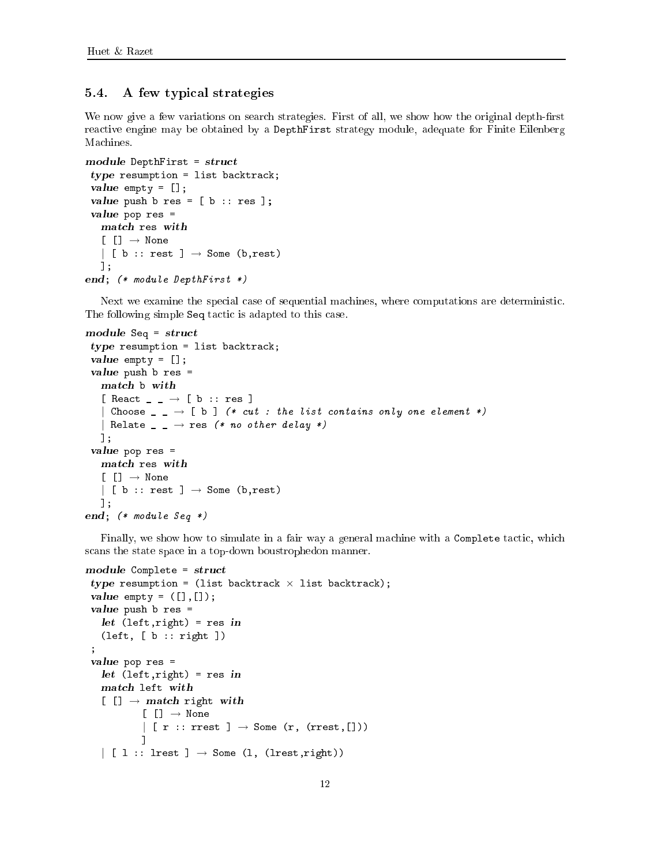#### 5.4. 5.4. A few typi
al strategies

We now give a few variations on search strategies. First of all, we show how the original depth-first rea
tive engine may be obtained by a DepthFirst strategy module, adequate for Finite Eilenberg Machines.

```
module DepthFirst = stru
t
 type resumption = list ba
ktra
k;
 value empty = [℄;
 value push b res = [ b :: res ℄;
 value pop res =
   \lceil \lceil \cdot \rceil \rightarrow \mathbb{N}one
   | [ b :: rest ] \rightarrow Some (b, rest)
   ℄;
end; (* module DepthFirst *)
```
Next we examine the special case of sequential machines, where computations are deterministic. The following simple Seq tactic is adapted to this case.

```
module Seq = stru
t
 type resumption = list ba
ktra
k;
 value empty = [℄;
 value push b res =
   [ React \_ \_ \rightarrow [ b :: res ]
   | Choose \Box \rightarrow [ b ] (* cut : the list contains only one element *)
   | Relate \Box \rightarrow res (* no other delay *)
  ℄;
 value pop res =
   mat
h res with
   [[] \rightarrow None| [ b :: rest ] \rightarrow Some (b,rest)
  ℄;
end; (* module Seq *)
```
Finally, we show how to simulate in a fair way a general machine with a Complete tactic, which s
ans the state spa
e in a top-down boustrophedon manner.

```
module Complete \mathbb{R}^n . The structure \mathbb{R}^n is the structure of the structure \mathbb{R}^ntype resumption = (list backtrack \times list backtrack);
 value empty entrepreneur entrepreneur de la proposition de la proposition de la proposition de la proposition d
 value push b res =
    let (left,right) = res in
    (left, [b :: right]);
 value pop res =
    let (left,right) = res in
    [ [] \rightarrow match right with
                [[] \rightarrow None| [ r :: rrest ] \rightarrow Some (r, (rrest,[]))
               L.
                ℄
    \vert [ 1 :: lrest ] \rightarrow Some (1, (lrest,right))
```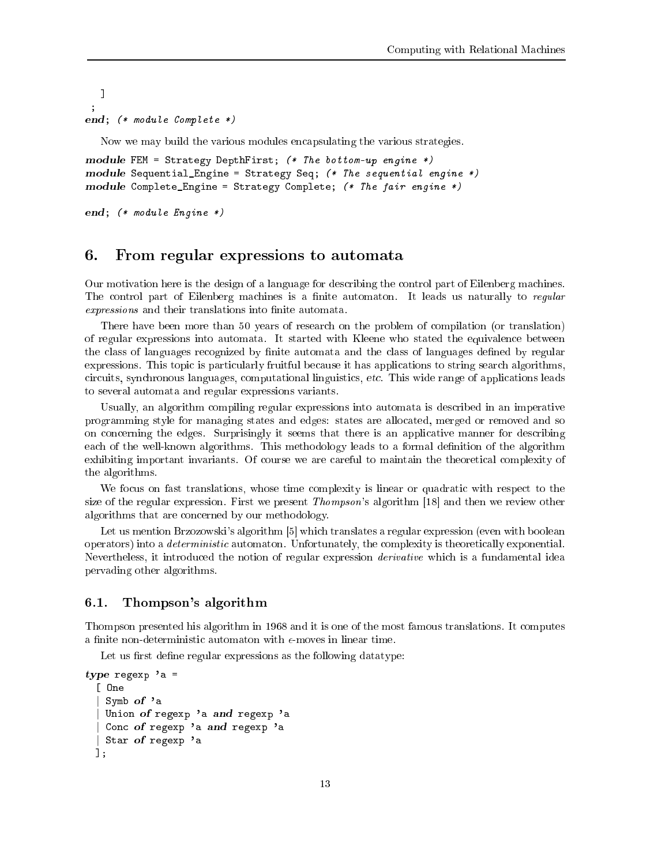$\overline{1}$ ℄  $\cdot$ , end; (\* module Complete \*)

Now we may build the various modules en
apsulating the various strategies.

module Fem  $\mathbf{F}$  both  $\mathbf{F}$  both  $\mathbf{F}$  both  $\mathbf{F}$  both  $\mathbf{F}$  both  $\mathbf{F}$  both  $\mathbf{F}$ module Sequential  $\mathcal{L}$  Sequential engine  $\mathcal{L}$  sequential engine  $\mathcal{L}$  sequential engine  $\mathcal{L}$ module Complete\_Engine = Strategy Complete; (\* The fair engine \*)

end; (\* module Engine \*)

## 6. From regular expressions to automata

Our motivation here is the design of a language for des
ribing the ontrol part of Eilenberg ma
hines. The control part of Eilenberg machines is a finite automaton. It leads us naturally to regular expressions and their translations into finite automata.

There have been more than 50 years of research on the problem of compilation (or translation) of regular expressions into automata. It started with Kleene who stated the equivalen
e between the class of languages recognized by finite automata and the class of languages defined by regular expressions. This topic is particularly fruitful because it has applications to string search algorithms, circuits, synchronous languages, computational linguistics, etc. This wide range of applications leads to several automata and regular expressions variants.

Usually, an algorithm compiling regular expressions into automata is described in an imperative programming style for managing states and edges: states are allo
ated, merged or removed and so on concerning the edges. Surprisingly it seems that there is an applicative manner for describing each of the well-known algorithms. This methodology leads to a formal definition of the algorithm exhibiting important invariants. Of course we are careful to maintain the theoretical complexity of the algorithms.

We focus on fast translations, whose time complexity is linear or quadratic with respect to the size of the regular expression. First we present *Thompson*'s algorithm  $[18]$  and then we review other algorithms that are on
erned by our methodology.

Let us mention Brzozowski's algorithm [5] which translates a regular expression (even with boolean operators) into a *deterministic* automaton. Unfortunately, the complexity is theoretically exponential. Nevertheless, it introduced the notion of regular expression *derivative* which is a fundamental idea pervading other algorithms.

## 6.1. Thompson's algorithm

Thompson presented his algorithm in 1968 and it is one of the most famous translations. It omputes a finite non-deterministic automaton with  $\epsilon$ -moves in linear time.

Let us first define regular expressions as the following datatype:

```
type regexp 'a =
 [ One
   Symb of 'a
   Union of regexp 'a and regexp 'a
   Conc of regexp 'a and regexp 'a
  Star of regexp 'a
 1:
```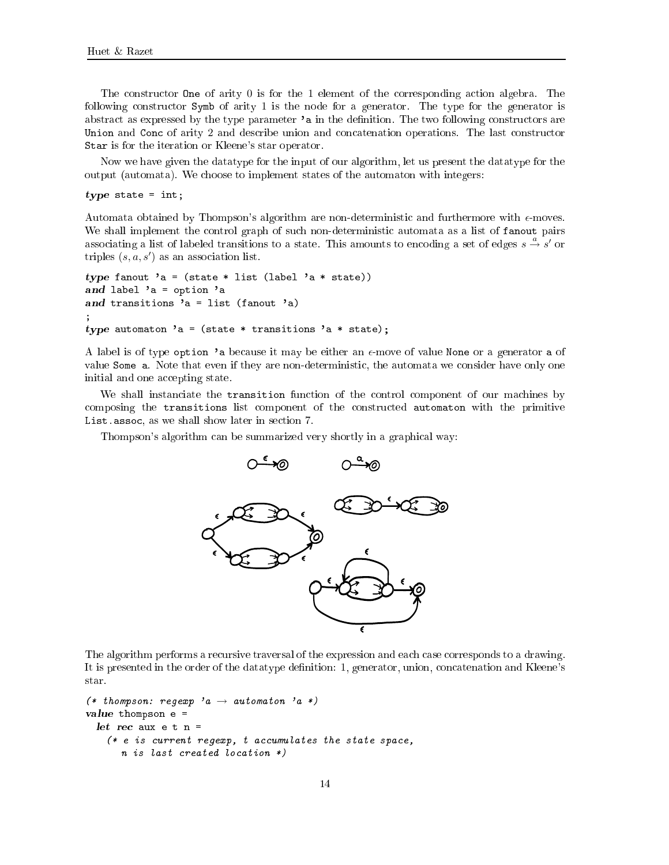The constructor **One** of arity 0 is for the 1 element of the corresponding action algebra. The following constructor Symb of arity 1 is the node for a generator. The type for the generator is abstract as expressed by the type parameter 'a in the definition. The two following constructors are Union and Conc of arity 2 and describe union and concatenation operations. The last constructor Star is for the iteration or Kleene's star operator.

Now we have given the datatype for the input of our algorithm, let us present the datatype for the output (automata). We hoose to implement states of the automaton with integers:

type states  $\sim$  interests and  $\sim$ 

Automata obtained by Thompson's algorithm are non-deterministic and furthermore with  $\epsilon$ -moves. We shall implement the control graph of such non-deterministic automata as a list of fanout pairs associating a list of labeled transitions to a state. This amounts to encoding a set of edges  $s \stackrel{a}{\rightarrow} s'$  or triples  $(s, a, s')$  as an association list.

```
type fanout 'a = (state * list (label 'a * state))
and label 'a = option 'a
and transitions 'a = list (fanout 'a)
;
type automaton 'a = (state * transitions 'a * state);
```
A label is of type option 'a because it may be either an  $\epsilon$ -move of value None or a generator a of value Some a. Note that even if they are non-deterministic, the automata we consider have only one initial and one accepting state.

We shall instanciate the transition function of the control component of our machines by composing the transitions list component of the constructed automaton with the primitive List.assoc, as we shall show later in section 7.

Thompson's algorithm can be summarized very shortly in a graphical way:



The algorithm performs a recursive traversal of the expression and each case corresponds to a drawing. It is presented in the order of the datatype definition: 1, generator, union, concatenation and Kleene's star.

```
(* thompson: regexp 'a \rightarrow automaton 'a *)
value thompson e =
  let re
 aux e t n =
   (* e is current regexp, t accumulates the state space,
      n is last created location *)
```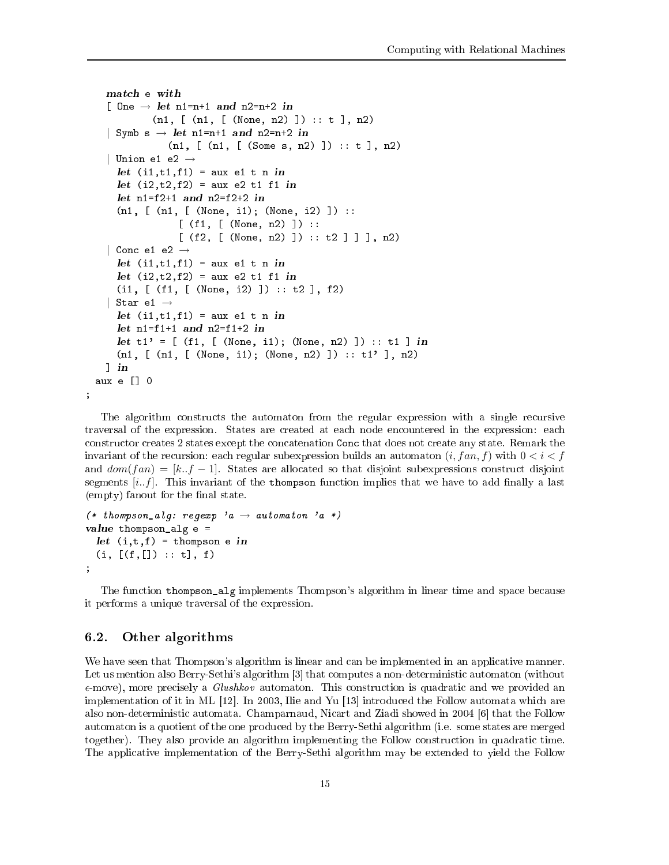```
[ One \rightarrow let n1=n+1 and n2=n+2 in
            (n1, [\n(n1, [\n(None, n2) ]):: t], n2)| Symb s \rightarrow let n1=n+1 and n2=n+2 in
               (n1, [\text{(n1, [ (Some s, n2) ]}) : : t], n2)| Union e1 e2 \rightarrowlet (i1,t1,f1) = aux e1 t n in
    let (i2,t2,f2) = aux e2 t1 f1 in
    (n1, [\n(n1, [\n(None, i1); (\nNone, i2)]):[ (f1, [ (None, n2) ]) ::
                 [ (f2, [ (None, n2) ] ) :: t2 ] ] ], n2)
  | Conc e1 e2 \rightarrowlet (i1,t1,f1) = aux e1 t n in
    let (i2,t2,f2) = aux e2 t1 f1 in
    (i1, [ (f1, [ (None, i2) ]): t2 ], f2)| Star e1 \rightarrowlet (i1,t1,f1) = aux e1 t n in
    Let t1' = \lfloor (f1, \lfloor (None, i1); (None, n2) \rfloor) :: t1 \rfloor in
    (n1, [\n(n1, [\n(None, i1); (\nNone, n2) ]): : t1' ], n2)\lnaux e \begin{bmatrix} 1 & 0 \\ 0 & 0 \end{bmatrix}
```
The algorithm constructs the automaton from the regular expression with a single recursive traversal of the expression. States are created at each node encountered in the expression: each constructor creates 2 states except the concatenation Conc that does not create any state. Remark the invariant of the recursion: each regular subexpression builds an automaton  $(i, fan, f)$  with  $0 < i < f$ and  $dom(fan) = [k..f-1]$ . States are allocated so that disjoint subexpressions construct disjoint segments  $[i..f]$ . This invariant of the thompson function implies that we have to add finally a last (empty) fanout for the final state.

```
(* thompson_alg: regexp 'a \rightarrow automaton 'a *)
value thompson_alg e =
  let (i,t,f) = thompson e in
 (i, [(f, []): : t], f);
```
The function thompson alg implements Thompson's algorithm in linear time and space because it performs a unique traversal of the expression.

### 6.2. Other algorithms

;

We have seen that Thompson's algorithm is linear and can be implemented in an applicative manner. Let us mention also Berry-Sethi's algorithm [3] that computes a non-deterministic automaton (without  $\epsilon$ -move), more precisely a *Glushkov* automaton. This construction is quadratic and we provided an implementation of it in ML  $[12]$ . In 2003, Ilie and Yu  $[13]$  introduced the Follow automata which are also non-deterministic automata. Champarnaud, Nicart and Ziadi showed in 2004 [6] that the Follow automaton is a quotient of the one produ
ed by the Berry-Sethi algorithm (i.e. some states are merged together). They also provide an algorithm implementing the Follow construction in quadratic time. The appli
ative implementation of the Berry-Sethi algorithm may be extended to yield the Follow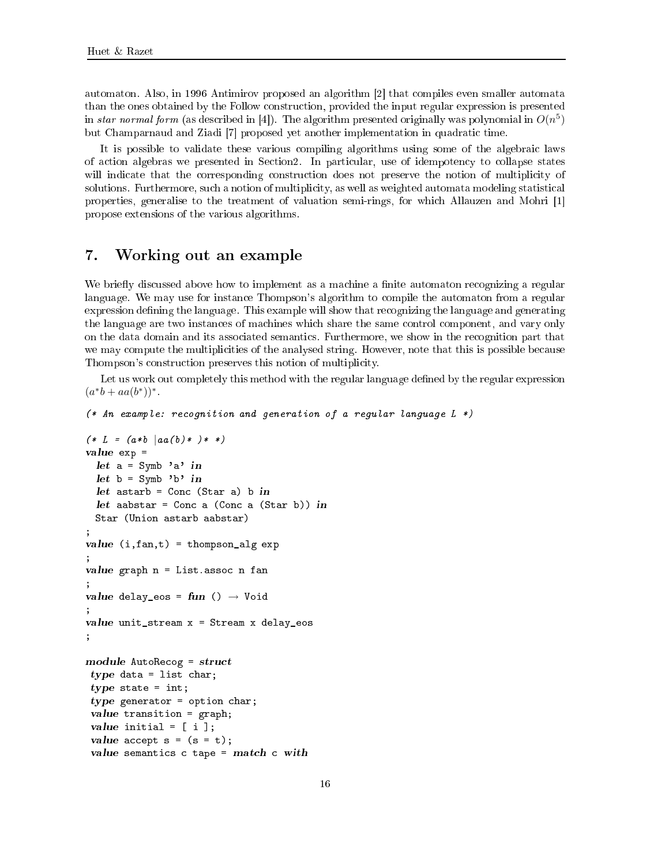automaton. Also, in 1996 Antimirov proposed an algorithm [2] that compiles even smaller automata than the ones obtained by the Follow construction, provided the input regular expression is presented in star normal form (as described in [4]). The algorithm presented originally was polynomial in  $O(n^5)$ but Champarnaud and Ziadi [7] proposed yet another implementation in quadratic time.

It is possible to validate these various compiling algorithms using some of the algebraic laws of action algebras we presented in Section2. In particular, use of idempotency to collapse states will indicate that the corresponding construction does not preserve the notion of multiplicity of solutions. Furthermore, such a notion of multiplicity, as well as weighted automata modeling statistical properties, generalise to the treatment of valuation semi-rings, for which Allauzen and Mohri [1] propose extensions of the various algorithms.

#### $7.$ Working out an example

We briefly discussed above how to implement as a machine a finite automaton recognizing a regular language. We may use for instance Thompson's algorithm to compile the automaton from a regular expression defining the language. This example will show that recognizing the language and generating the language are two instances of machines which share the same control component, and vary only on the data domain and its asso
iated semanti
s. Furthermore, we show in the re
ognition part that we may compute the multiplicities of the analysed string. However, note that this is possible because Thompson's construction preserves this notion of multiplicity.

Let us work out completely this method with the regular language defined by the regular expression  $(a^*b + aa(b^*))^*$ .

```
(* An example: re
ognition and generation of a regular language L *)
```

```
(* L = (a * b | aa(b) * ) * *)value exp =
    let a = Symb 'a' in
    let b = Symb' b in
    let as the contract astarb \mathcal{S} as the contract and contract as the contract and contract and contract and contract and contract and contract and contract and contract and contract and contract and contract and contra
    let aabstar = Con
 a (Con
 a (Star b)) in
   Star (Union astarb aabstar)
;
value (i,fan,t) = thompson_alg exp
,
value graph n = List.associates and a fantassociates and a fantassociates and a fantassociates and a fantassociates and a fantassociates and a fantassociates and a fantassociates and a fantassociates and a fantassociates a
;
value delay_eos = fun () \rightarrow Void
;
value unit_stream x = Stream x delay_eos
;
module AutoRe
og = stru
t
  type data = list 
har;
  type state \mathbf{r}type generator is a contract of the contract of the contract of the contract of the contract of the contract of
  v = 1 . The same state transition \mathcal{A} = \mathcal{A}value initial = [ i ℄;
  value a

ept s = (s = t);
  value semanti
s 
 tape = mat
h 
 with
```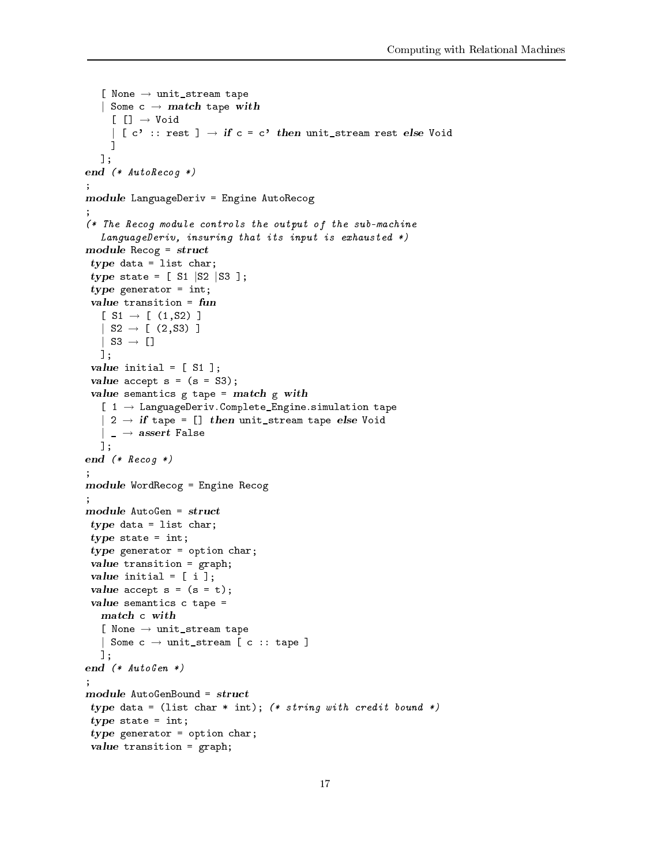```
[ None \rightarrow unit_stream tape
   | Some c \rightarrow match tape with
     [[] \rightarrow Void| [ c' :: rest ] \rightarrow if c = c' then unit_stream rest else Void
     -1
      ℄
  \mathbf{1}:
   . .
end (* AutoReichen)
,
module – Engine Autor – Engine Autoristic
,
(* The Re
og module 
ontrols the output of the sub-ma
hine
   LanguageDeriv, insuring that its input is exhausted *)
module Re
og = stru
t
 type data the second through the second of \simtype state = [ S1 |S2 |S3 ];
 type generator \sim[ S1 \rightarrow [ (1, S2) ]| S2 \rightarrow [ (2, S3) ]
  | S3 \rightarrow []
  ℄;
 v = \frac{1}{2} the initial \frac{1}{2} the initial \frac{1}{2} the initial \frac{1}{2}\mathbf{v} = \mathbf{v}value semanti
s g tape = mat
h g with
   [ 1 \rightarrow LanguageDeriv. Complete_Engine.simulation tape
   | 2 \rightarrow if tape = [] then unit_stream tape else Void
   |\, \_\rightarrow assert False
  \exists :
end (* Reinholden) en de en de groep van de groep van de groep van de groep van de groep van de groep van de g
;
module WordRe
og = Engine Re
og
;
module and structure and module
 type data the second through the second of \simtype states \sim intervals.
 type generator = option 
har;
 \mathbf{v}value initial = [ i ℄;
 \mathbf{v} = \mathbf{v}value semanti
s 
 tape =
   [ None \rightarrow unit_stream tape
   | Some c \rightarrow unit_stream [ c :: tape ]
  1;end (* AutoGen *)
;
 type data = (list 
har * int); (* string with 
redit bound *)
 type states \sim intervals.
 type generator = option 
har;
 v = 1 . The same state transition \mathcal{A} = \mathcal{A}
```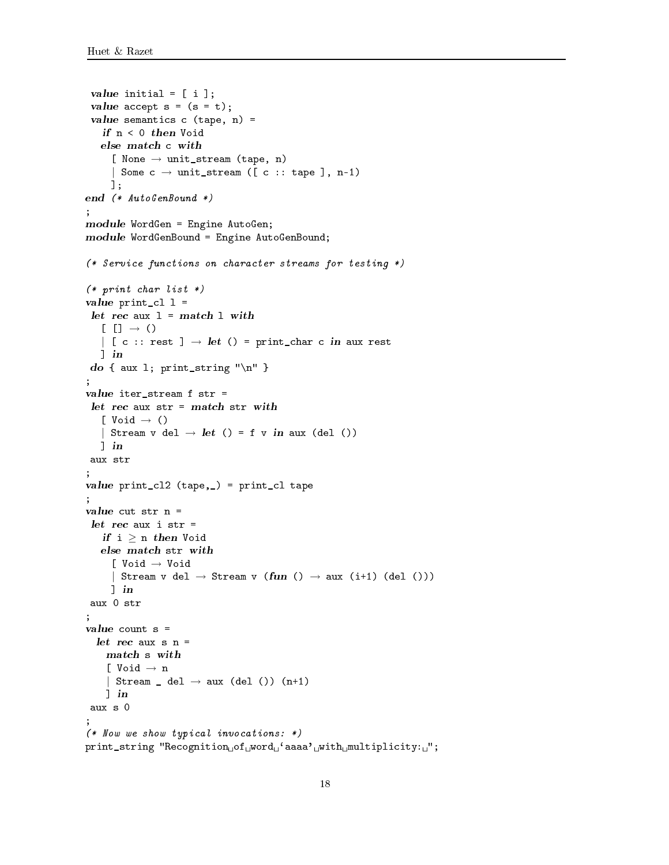```
value initial = [ i ℄;
 value a

ept s = (s = t);
 value semanti
s 
 (tape, n) =
      [ None \rightarrow unit_stream (tape, n)
      | Some c \rightarrow \text{unit\_stream} ([ c :: \text{ tape}], n-1)
     \exists;
end (* AutoGenbeurg)
;
module WordGen = Engine AutoGen;
module WordGenBound; = Engine AutoGenBound;
(* Servi
e fun
tions on 
hara
ter streams for testing *)
(* print char list *)value print_
l l =
   [ [ ] \rightarrow ()| [ c :: rest ] \rightarrow let () = print_char c in aux rest
   \lndo {\bf a} and {\bf a} is a string to {\bf a} . The string term in the string term in the string {\bf a}\ddot{\phantom{a}};
value iter_stream f str =
    [ Void \rightarrow ()
   | Stream v del \rightarrow let () = f v in aux (del ())
   \lnaux str
;
la la printa printa printa printa printa printa printa printa printa printa printa printa printa printa printa
;
<u>value is strain</u>
    \textbf{\textit{if}} i \geq n \textbf{\textit{then}} Void
      [ Void → Void
      | Stream v del \rightarrow Stream v (fun () \rightarrow aux (i+1) (del ()))
     \lnaux 0 str
;
    [ Void \rightarrow n
    | Stream _ del \rightarrow aux (del ()) (n+1)
    \lnaux s 0
;
(* Now we show typi
al invo
ations: *)
print_string "Recognition of word ' aaaa' with multiplicity: '';
```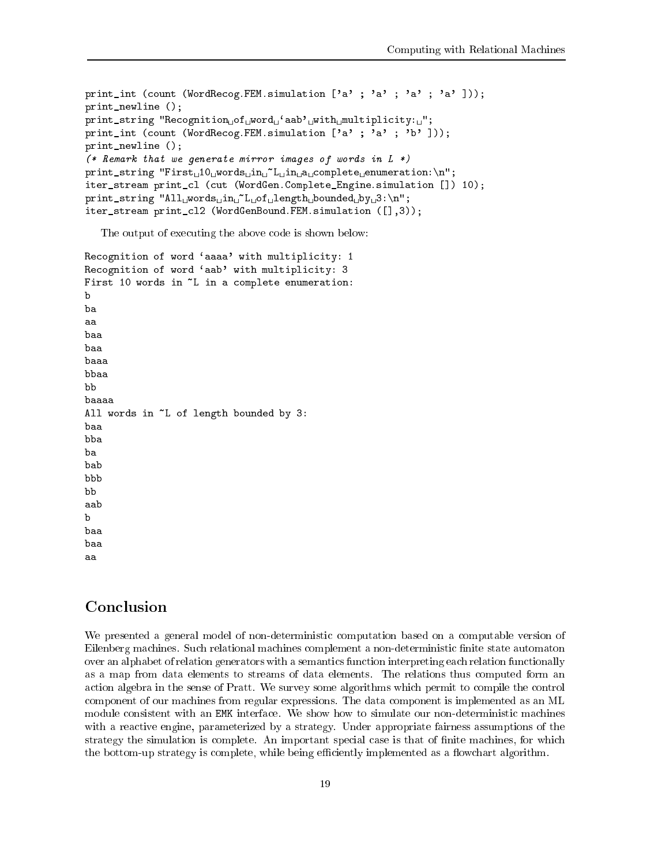```
print_int (count (WordRecog.FEM.simulation ['a' ; 'a' ; 'a' ; 'a' ]));
print newline ();
print\_string "Recognition of word ' aab' with multiplicity: '';
print_int (count (WordRecog.FEM.simulation ['a' ; 'a' ; 'b' ]));
print_newline ();
(* Remark that we generate mirror images of words in L *)
print\_string "First<sub>u</sub>10<sub>u</sub>words<sub>u</sub>in<sub>u</sub><sup>~</sup>L<sub>u</sub>in<sub>u</sub>a<sub>u</sub>complete<sub>u</sub>enumeration: \n";
iter_stream print_cl (cut (WordGen.Complete_Engine.simulation []) 10);
print_string "All<sub>U</sub>words<sub>U</sub>in<sub>U</sub>"L<sub>U</sub>of<sub>U</sub>length bounded by 13:\n";
iter_stream print_cl2 (WordGenBound.FEM.simulation ([],3));
```
The output of executing the above code is shown below:

```
Recognition of word 'aaaa' with multiplicity: 1
Recognition of word 'aab' with multiplicity: 3
First 10 words in \tilde{}L in a complete enumeration:
\mathbf bba
aa
baa
baa
baaa
bbaa
bb
baaaa
All words in ~L of length bounded by 3:
baa
bba
ba
bab
bbb
hhaab
\mathbf{h}baa
baa
aa
```
# Conclusion

We presented a general model of non-deterministic computation based on a computable version of Eilenberg machines. Such relational machines complement a non-deterministic finite state automaton over an alphabet of relation generators with a semantics function interpreting each relation functionally as a map from data elements to streams of data elements. The relations thus omputed form an action algebra in the sense of Pratt. We survey some algorithms which permit to compile the control component of our machines from regular expressions. The data component is implemented as an ML module onsistent with an EMK interfa
e. We show how to simulate our non-deterministi ma
hines with a reactive engine, parameterized by a strategy. Under appropriate fairness assumptions of the strategy the simulation is complete. An important special case is that of finite machines, for which the bottom-up strategy is complete, while being efficiently implemented as a flowchart algorithm.